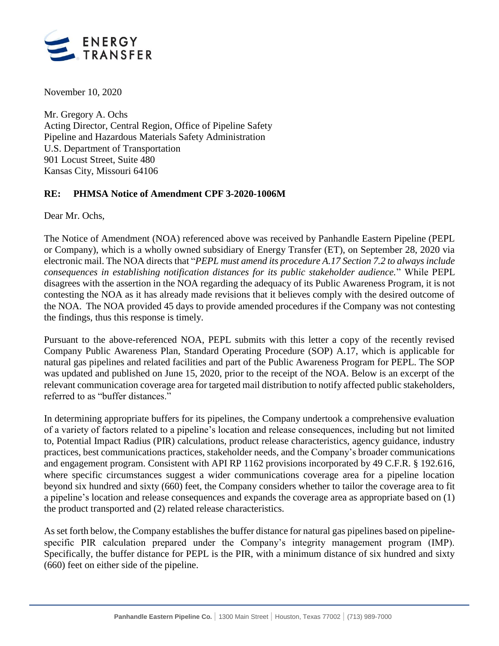

November 10, 2020

Mr. Gregory A. Ochs Acting Director, Central Region, Office of Pipeline Safety Pipeline and Hazardous Materials Safety Administration U.S. Department of Transportation 901 Locust Street, Suite 480 Kansas City, Missouri 64106

## **RE: PHMSA Notice of Amendment CPF 3-2020-1006M**

Dear Mr. Ochs,

The Notice of Amendment (NOA) referenced above was received by Panhandle Eastern Pipeline (PEPL or Company), which is a wholly owned subsidiary of Energy Transfer (ET), on September 28, 2020 via electronic mail. The NOA directs that "*PEPL must amend its procedure A.17 Section 7.2 to always include consequences in establishing notification distances for its public stakeholder audience.*" While PEPL disagrees with the assertion in the NOA regarding the adequacy of its Public Awareness Program, it is not contesting the NOA as it has already made revisions that it believes comply with the desired outcome of the NOA. The NOA provided 45 days to provide amended procedures if the Company was not contesting the findings, thus this response is timely.

Pursuant to the above-referenced NOA, PEPL submits with this letter a copy of the recently revised Company Public Awareness Plan, Standard Operating Procedure (SOP) A.17, which is applicable for natural gas pipelines and related facilities and part of the Public Awareness Program for PEPL. The SOP was updated and published on June 15, 2020, prior to the receipt of the NOA. Below is an excerpt of the relevant communication coverage area for targeted mail distribution to notify affected public stakeholders, referred to as "buffer distances."

In determining appropriate buffers for its pipelines, the Company undertook a comprehensive evaluation of a variety of factors related to a pipeline's location and release consequences, including but not limited to, Potential Impact Radius (PIR) calculations, product release characteristics, agency guidance, industry practices, best communications practices, stakeholder needs, and the Company's broader communications and engagement program. Consistent with API RP 1162 provisions incorporated by 49 C.F.R. § 192.616, where specific circumstances suggest a wider communications coverage area for a pipeline location beyond six hundred and sixty (660) feet, the Company considers whether to tailor the coverage area to fit a pipeline's location and release consequences and expands the coverage area as appropriate based on (1) the product transported and (2) related release characteristics.

Asset forth below, the Company establishes the buffer distance for natural gas pipelines based on pipelinespecific PIR calculation prepared under the Company's integrity management program (IMP). Specifically, the buffer distance for PEPL is the PIR, with a minimum distance of six hundred and sixty (660) feet on either side of the pipeline.